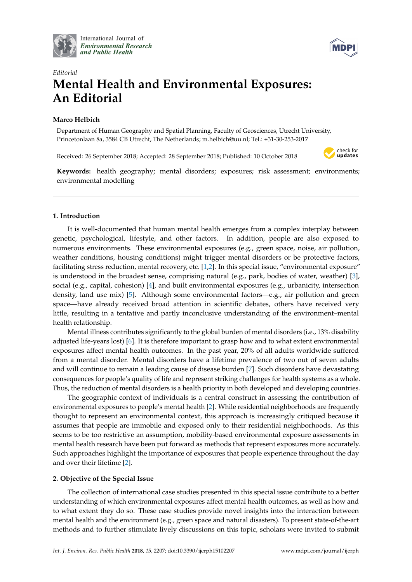

International Journal of *[Environmental Research](http://www.mdpi.com/journal/ijerph) and Public Health*



# *Editorial* **Mental Health and Environmental Exposures: An Editorial**

## **Marco Helbich**

Department of Human Geography and Spatial Planning, Faculty of Geosciences, Utrecht University, Princetonlaan 8a, 3584 CB Utrecht, The Netherlands; m.helbich@uu.nl; Tel.: +31-30-253-2017

Received: 26 September 2018; Accepted: 28 September 2018; Published: 10 October 2018



**Keywords:** health geography; mental disorders; exposures; risk assessment; environments; environmental modelling

#### **1. Introduction**

It is well-documented that human mental health emerges from a complex interplay between genetic, psychological, lifestyle, and other factors. In addition, people are also exposed to numerous environments. These environmental exposures (e.g., green space, noise, air pollution, weather conditions, housing conditions) might trigger mental disorders or be protective factors, facilitating stress reduction, mental recovery, etc. [\[1,](#page-2-0)[2\]](#page-2-1). In this special issue, "environmental exposure" is understood in the broadest sense, comprising natural (e.g., park, bodies of water, weather) [\[3\]](#page-2-2), social (e.g., capital, cohesion) [\[4\]](#page-2-3), and built environmental exposures (e.g., urbanicity, intersection density, land use mix) [\[5\]](#page-2-4). Although some environmental factors—e.g., air pollution and green space—have already received broad attention in scientific debates, others have received very little, resulting in a tentative and partly inconclusive understanding of the environment–mental health relationship.

Mental illness contributes significantly to the global burden of mental disorders (i.e., 13% disability adjusted life-years lost) [\[6\]](#page-2-5). It is therefore important to grasp how and to what extent environmental exposures affect mental health outcomes. In the past year, 20% of all adults worldwide suffered from a mental disorder. Mental disorders have a lifetime prevalence of two out of seven adults and will continue to remain a leading cause of disease burden [\[7\]](#page-2-6). Such disorders have devastating consequences for people's quality of life and represent striking challenges for health systems as a whole. Thus, the reduction of mental disorders is a health priority in both developed and developing countries.

The geographic context of individuals is a central construct in assessing the contribution of environmental exposures to people's mental health [\[2\]](#page-2-1). While residential neighborhoods are frequently thought to represent an environmental context, this approach is increasingly critiqued because it assumes that people are immobile and exposed only to their residential neighborhoods. As this seems to be too restrictive an assumption, mobility-based environmental exposure assessments in mental health research have been put forward as methods that represent exposures more accurately. Such approaches highlight the importance of exposures that people experience throughout the day and over their lifetime [\[2\]](#page-2-1).

### **2. Objective of the Special Issue**

The collection of international case studies presented in this special issue contribute to a better understanding of which environmental exposures affect mental health outcomes, as well as how and to what extent they do so. These case studies provide novel insights into the interaction between mental health and the environment (e.g., green space and natural disasters). To present state-of-the-art methods and to further stimulate lively discussions on this topic, scholars were invited to submit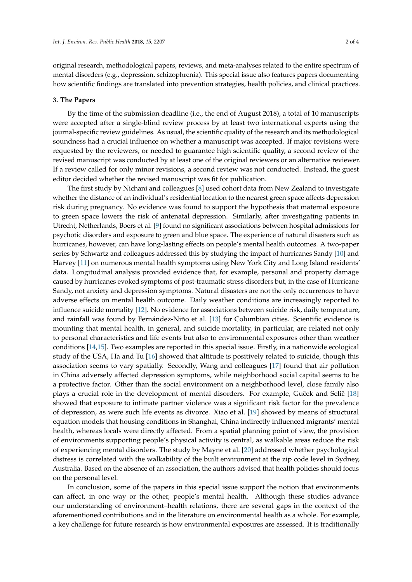original research, methodological papers, reviews, and meta-analyses related to the entire spectrum of mental disorders (e.g., depression, schizophrenia). This special issue also features papers documenting how scientific findings are translated into prevention strategies, health policies, and clinical practices.

#### **3. The Papers**

By the time of the submission deadline (i.e., the end of August 2018), a total of 10 manuscripts were accepted after a single-blind review process by at least two international experts using the journal-specific review guidelines. As usual, the scientific quality of the research and its methodological soundness had a crucial influence on whether a manuscript was accepted. If major revisions were requested by the reviewers, or needed to guarantee high scientific quality, a second review of the revised manuscript was conducted by at least one of the original reviewers or an alternative reviewer. If a review called for only minor revisions, a second review was not conducted. Instead, the guest editor decided whether the revised manuscript was fit for publication.

The first study by Nichani and colleagues [\[8\]](#page-2-7) used cohort data from New Zealand to investigate whether the distance of an individual's residential location to the nearest green space affects depression risk during pregnancy. No evidence was found to support the hypothesis that maternal exposure to green space lowers the risk of antenatal depression. Similarly, after investigating patients in Utrecht, Netherlands, Boers et al. [\[9\]](#page-2-8) found no significant associations between hospital admissions for psychotic disorders and exposure to green and blue space. The experience of natural disasters such as hurricanes, however, can have long-lasting effects on people's mental health outcomes. A two-paper series by Schwartz and colleagues addressed this by studying the impact of hurricanes Sandy [\[10\]](#page-2-9) and Harvey [\[11\]](#page-2-10) on numerous mental health symptoms using New York City and Long Island residents' data. Longitudinal analysis provided evidence that, for example, personal and property damage caused by hurricanes evoked symptoms of post-traumatic stress disorders but, in the case of Hurricane Sandy, not anxiety and depression symptoms. Natural disasters are not the only occurrences to have adverse effects on mental health outcome. Daily weather conditions are increasingly reported to influence suicide mortality [\[12\]](#page-2-11). No evidence for associations between suicide risk, daily temperature, and rainfall was found by Fernández-Niño et al. [\[13\]](#page-2-12) for Columbian cities. Scientific evidence is mounting that mental health, in general, and suicide mortality, in particular, are related not only to personal characteristics and life events but also to environmental exposures other than weather conditions [\[14](#page-3-0)[,15\]](#page-3-1). Two examples are reported in this special issue. Firstly, in a nationwide ecological study of the USA, Ha and Tu [\[16\]](#page-3-2) showed that altitude is positively related to suicide, though this association seems to vary spatially. Secondly, Wang and colleagues [\[17\]](#page-3-3) found that air pollution in China adversely affected depression symptoms, while neighborhood social capital seems to be a protective factor. Other than the social environment on a neighborhood level, close family also plays a crucial role in the development of mental disorders. For example, Guček and Selič [\[18\]](#page-3-4) showed that exposure to intimate partner violence was a significant risk factor for the prevalence of depression, as were such life events as divorce. Xiao et al. [\[19\]](#page-3-5) showed by means of structural equation models that housing conditions in Shanghai, China indirectly influenced migrants' mental health, whereas locals were directly affected. From a spatial planning point of view, the provision of environments supporting people's physical activity is central, as walkable areas reduce the risk of experiencing mental disorders. The study by Mayne et al. [\[20\]](#page-3-6) addressed whether psychological distress is correlated with the walkability of the built environment at the zip code level in Sydney, Australia. Based on the absence of an association, the authors advised that health policies should focus on the personal level.

In conclusion, some of the papers in this special issue support the notion that environments can affect, in one way or the other, people's mental health. Although these studies advance our understanding of environment–health relations, there are several gaps in the context of the aforementioned contributions and in the literature on environmental health as a whole. For example, a key challenge for future research is how environmental exposures are assessed. It is traditionally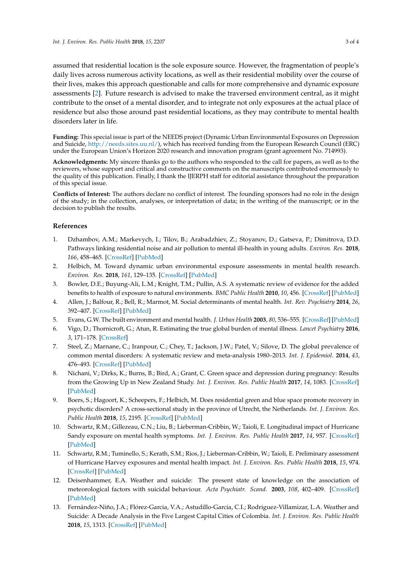assumed that residential location is the sole exposure source. However, the fragmentation of people's daily lives across numerous activity locations, as well as their residential mobility over the course of their lives, makes this approach questionable and calls for more comprehensive and dynamic exposure assessments [\[2\]](#page-2-1). Future research is advised to make the traversed environment central, as it might contribute to the onset of a mental disorder, and to integrate not only exposures at the actual place of residence but also those around past residential locations, as they may contribute to mental health disorders later in life.

**Funding:** This special issue is part of the NEEDS project (Dynamic Urban Environmental Exposures on Depression and Suicide, [http://needs.sites.uu.nl/\)](http://needs.sites.uu.nl/), which has received funding from the European Research Council (ERC) under the European Union's Horizon 2020 research and innovation program (grant agreement No. 714993).

**Acknowledgments:** My sincere thanks go to the authors who responded to the call for papers, as well as to the reviewers, whose support and critical and constructive comments on the manuscripts contributed enormously to the quality of this publication. Finally, I thank the IJERPH staff for editorial assistance throughout the preparation of this special issue.

**Conflicts of Interest:** The authors declare no conflict of interest. The founding sponsors had no role in the design of the study; in the collection, analyses, or interpretation of data; in the writing of the manuscript; or in the decision to publish the results.

#### **References**

- <span id="page-2-0"></span>1. Dzhambov, A.M.; Markevych, I.; Tilov, B.; Arabadzhiev, Z.; Stoyanov, D.; Gatseva, P.; Dimitrova, D.D. Pathways linking residential noise and air pollution to mental ill-health in young adults. *Environ. Res.* **2018**, *166*, 458–465. [\[CrossRef\]](http://dx.doi.org/10.1016/j.envres.2018.06.031) [\[PubMed\]](http://www.ncbi.nlm.nih.gov/pubmed/29940479)
- <span id="page-2-1"></span>2. Helbich, M. Toward dynamic urban environmental exposure assessments in mental health research. *Environ. Res.* **2018**, *161*, 129–135. [\[CrossRef\]](http://dx.doi.org/10.1016/j.envres.2017.11.006) [\[PubMed\]](http://www.ncbi.nlm.nih.gov/pubmed/29136521)
- <span id="page-2-2"></span>3. Bowler, D.E.; Buyung-Ali, L.M.; Knight, T.M.; Pullin, A.S. A systematic review of evidence for the added benefits to health of exposure to natural environments. *BMC Public Health* **2010**, *10*, 456. [\[CrossRef\]](http://dx.doi.org/10.1186/1471-2458-10-456) [\[PubMed\]](http://www.ncbi.nlm.nih.gov/pubmed/20684754)
- <span id="page-2-3"></span>4. Allen, J.; Balfour, R.; Bell, R.; Marmot, M. Social determinants of mental health. *Int. Rev. Psychiatry* **2014**, *26*, 392–407. [\[CrossRef\]](http://dx.doi.org/10.3109/09540261.2014.928270) [\[PubMed\]](http://www.ncbi.nlm.nih.gov/pubmed/25137105)
- <span id="page-2-4"></span>5. Evans, G.W. The built environment and mental health. *J. Urban Health* **2003**, *80*, 536–555. [\[CrossRef\]](http://dx.doi.org/10.1093/jurban/jtg063) [\[PubMed\]](http://www.ncbi.nlm.nih.gov/pubmed/14709704)
- <span id="page-2-5"></span>6. Vigo, D.; Thornicroft, G.; Atun, R. Estimating the true global burden of mental illness. *Lancet Psychiatry* **2016**, *3*, 171–178. [\[CrossRef\]](http://dx.doi.org/10.1016/S2215-0366(15)00505-2)
- <span id="page-2-6"></span>7. Steel, Z.; Marnane, C.; Iranpour, C.; Chey, T.; Jackson, J.W.; Patel, V.; Silove, D. The global prevalence of common mental disorders: A systematic review and meta-analysis 1980–2013. *Int. J. Epidemiol.* **2014**, *43*, 476–493. [\[CrossRef\]](http://dx.doi.org/10.1093/ije/dyu038) [\[PubMed\]](http://www.ncbi.nlm.nih.gov/pubmed/24648481)
- <span id="page-2-7"></span>8. Nichani, V.; Dirks, K.; Burns, B.; Bird, A.; Grant, C. Green space and depression during pregnancy: Results from the Growing Up in New Zealand Study. *Int. J. Environ. Res. Public Health* **2017**, *14*, 1083. [\[CrossRef\]](http://dx.doi.org/10.3390/ijerph14091083) [\[PubMed\]](http://www.ncbi.nlm.nih.gov/pubmed/28927014)
- <span id="page-2-8"></span>9. Boers, S.; Hagoort, K.; Scheepers, F.; Helbich, M. Does residential green and blue space promote recovery in psychotic disorders? A cross-sectional study in the province of Utrecht, the Netherlands. *Int. J. Environ. Res. Public Health* **2018**, *15*, 2195. [\[CrossRef\]](http://dx.doi.org/10.3390/ijerph15102195) [\[PubMed\]](http://www.ncbi.nlm.nih.gov/pubmed/30297637)
- <span id="page-2-9"></span>10. Schwartz, R.M.; Gillezeau, C.N.; Liu, B.; Lieberman-Cribbin, W.; Taioli, E. Longitudinal impact of Hurricane Sandy exposure on mental health symptoms. *Int. J. Environ. Res. Public Health* **2017**, *14*, 957. [\[CrossRef\]](http://dx.doi.org/10.3390/ijerph14090957) [\[PubMed\]](http://www.ncbi.nlm.nih.gov/pubmed/28837111)
- <span id="page-2-10"></span>11. Schwartz, R.M.; Tuminello, S.; Kerath, S.M.; Rios, J.; Lieberman-Cribbin, W.; Taioli, E. Preliminary assessment of Hurricane Harvey exposures and mental health impact. *Int. J. Environ. Res. Public Health* **2018**, *15*, 974. [\[CrossRef\]](http://dx.doi.org/10.3390/ijerph15050974) [\[PubMed\]](http://www.ncbi.nlm.nih.gov/pubmed/29757262)
- <span id="page-2-11"></span>12. Deisenhammer, E.A. Weather and suicide: The present state of knowledge on the association of meteorological factors with suicidal behaviour. *Acta Psychiatr. Scand.* **2003**, *108*, 402–409. [\[CrossRef\]](http://dx.doi.org/10.1046/j.0001-690X.2003.00209.x) [\[PubMed\]](http://www.ncbi.nlm.nih.gov/pubmed/14616220)
- <span id="page-2-12"></span>13. Fernández-Niño, J.A.; Flórez-Garcia, V.A.; Astudillo-Garcia, C.I.; Rodriguez-Villamizar, L.A. Weather and Suicide: A Decade Analysis in the Five Largest Capital Cities of Colombia. *Int. J. Environ. Res. Public Health* **2018**, *15*, 1313. [\[CrossRef\]](http://dx.doi.org/10.3390/ijerph15071313) [\[PubMed\]](http://www.ncbi.nlm.nih.gov/pubmed/29932440)